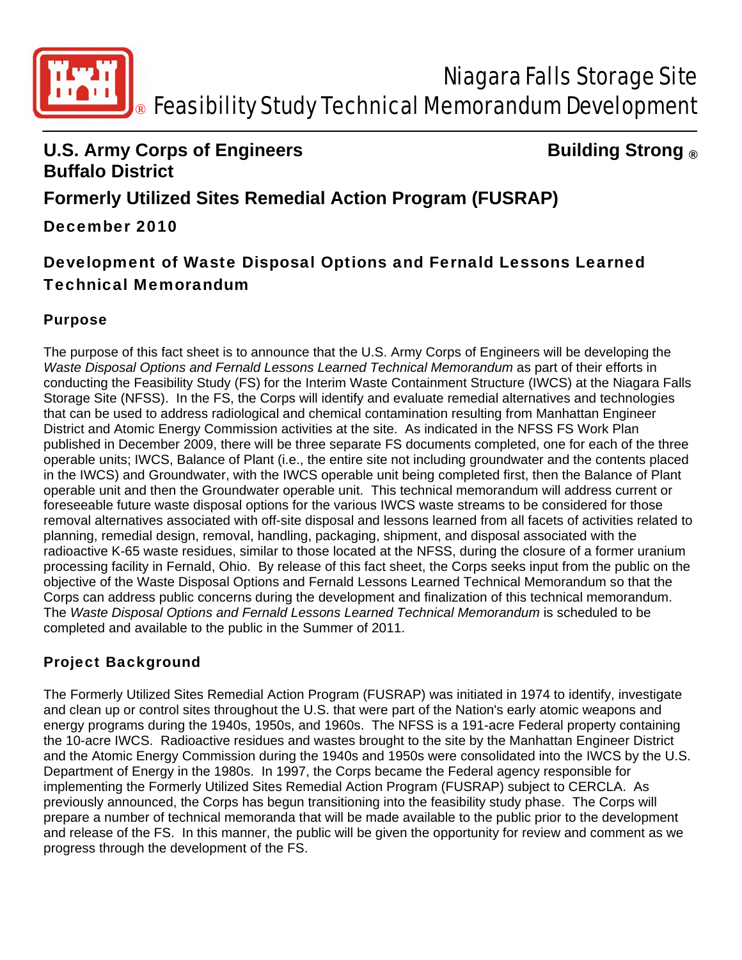

### **U.S. Army Corps of Engineers Constrained Building Strong ® Buffalo District**

# **Formerly Utilized Sites Remedial Action Program (FUSRAP)**

### December 2010

## Development of Waste Disposal Options and Fernald Lessons Learned Technical Memorandum

#### Purpose

The purpose of this fact sheet is to announce that the U.S. Army Corps of Engineers will be developing the Waste Disposal Options and Fernald Lessons Learned Technical Memorandum as part of their efforts in conducting the Feasibility Study (FS) for the Interim Waste Containment Structure (IWCS) at the Niagara Falls Storage Site (NFSS). In the FS, the Corps will identify and evaluate remedial alternatives and technologies that can be used to address radiological and chemical contamination resulting from Manhattan Engineer District and Atomic Energy Commission activities at the site. As indicated in the NFSS FS Work Plan published in December 2009, there will be three separate FS documents completed, one for each of the three operable units; IWCS, Balance of Plant (i.e., the entire site not including groundwater and the contents placed in the IWCS) and Groundwater, with the IWCS operable unit being completed first, then the Balance of Plant operable unit and then the Groundwater operable unit. This technical memorandum will address current or foreseeable future waste disposal options for the various IWCS waste streams to be considered for those removal alternatives associated with off-site disposal and lessons learned from all facets of activities related to planning, remedial design, removal, handling, packaging, shipment, and disposal associated with the radioactive K-65 waste residues, similar to those located at the NFSS, during the closure of a former uranium processing facility in Fernald, Ohio. By release of this fact sheet, the Corps seeks input from the public on the objective of the Waste Disposal Options and Fernald Lessons Learned Technical Memorandum so that the Corps can address public concerns during the development and finalization of this technical memorandum. The *Waste Disposal Options and Fernald Lessons Learned Technical Memorandum* is scheduled to be completed and available to the public in the Summer of 2011.

#### Project Background

The Formerly Utilized Sites Remedial Action Program (FUSRAP) was initiated in 1974 to identify, investigate and clean up or control sites throughout the U.S. that were part of the Nation's early atomic weapons and energy programs during the 1940s, 1950s, and 1960s. The NFSS is a 191-acre Federal property containing the 10-acre IWCS. Radioactive residues and wastes brought to the site by the Manhattan Engineer District and the Atomic Energy Commission during the 1940s and 1950s were consolidated into the IWCS by the U.S. Department of Energy in the 1980s. In 1997, the Corps became the Federal agency responsible for implementing the Formerly Utilized Sites Remedial Action Program (FUSRAP) subject to CERCLA. As previously announced, the Corps has begun transitioning into the feasibility study phase. The Corps will prepare a number of technical memoranda that will be made available to the public prior to the development and release of the FS. In this manner, the public will be given the opportunity for review and comment as we progress through the development of the FS.